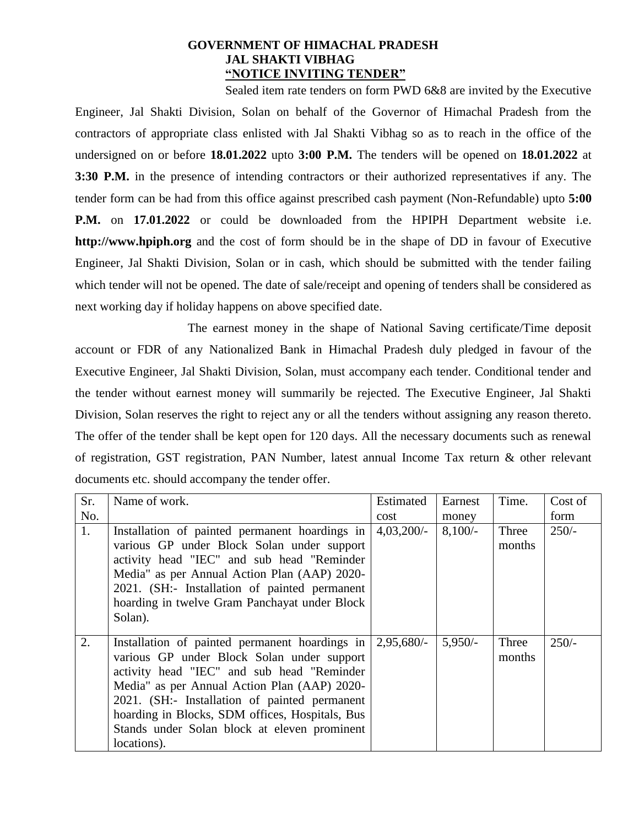### **GOVERNMENT OF HIMACHAL PRADESH JAL SHAKTI VIBHAG "NOTICE INVITING TENDER"**

Sealed item rate tenders on form PWD 6&8 are invited by the Executive Engineer, Jal Shakti Division, Solan on behalf of the Governor of Himachal Pradesh from the contractors of appropriate class enlisted with Jal Shakti Vibhag so as to reach in the office of the undersigned on or before **18.01.2022** upto **3:00 P.M.** The tenders will be opened on **18.01.2022** at **3:30 P.M.** in the presence of intending contractors or their authorized representatives if any. The tender form can be had from this office against prescribed cash payment (Non-Refundable) upto **5:00 P.M.** on **17.01.2022** or could be downloaded from the HPIPH Department website i.e. **http://www.hpiph.org** and the cost of form should be in the shape of DD in favour of Executive Engineer, Jal Shakti Division, Solan or in cash, which should be submitted with the tender failing which tender will not be opened. The date of sale/receipt and opening of tenders shall be considered as next working day if holiday happens on above specified date.

The earnest money in the shape of National Saving certificate/Time deposit account or FDR of any Nationalized Bank in Himachal Pradesh duly pledged in favour of the Executive Engineer, Jal Shakti Division, Solan, must accompany each tender. Conditional tender and the tender without earnest money will summarily be rejected. The Executive Engineer, Jal Shakti Division, Solan reserves the right to reject any or all the tenders without assigning any reason thereto. The offer of the tender shall be kept open for 120 days. All the necessary documents such as renewal of registration, GST registration, PAN Number, latest annual Income Tax return & other relevant documents etc. should accompany the tender offer.

| Sr. | Name of work.                                                                                                                                                                                                                                                                                                                                                                    | Estimated    | Earnest   | Time.           | Cost of |
|-----|----------------------------------------------------------------------------------------------------------------------------------------------------------------------------------------------------------------------------------------------------------------------------------------------------------------------------------------------------------------------------------|--------------|-----------|-----------------|---------|
| No. |                                                                                                                                                                                                                                                                                                                                                                                  | cost         | money     |                 | form    |
| 1.  | Installation of painted permanent hoardings in<br>various GP under Block Solan under support<br>activity head "IEC" and sub head "Reminder<br>Media" as per Annual Action Plan (AAP) 2020-<br>2021. (SH:- Installation of painted permanent                                                                                                                                      | $4,03,200/-$ | $8,100/-$ | Three<br>months | $250/-$ |
|     | hoarding in twelve Gram Panchayat under Block<br>Solan).                                                                                                                                                                                                                                                                                                                         |              |           |                 |         |
| 2.  | Installation of painted permanent hoardings in $\vert 2.95,680$ .<br>various GP under Block Solan under support<br>activity head "IEC" and sub head "Reminder<br>Media" as per Annual Action Plan (AAP) 2020-<br>2021. (SH:- Installation of painted permanent<br>hoarding in Blocks, SDM offices, Hospitals, Bus<br>Stands under Solan block at eleven prominent<br>locations). |              | $5,950/-$ | Three<br>months | $250/-$ |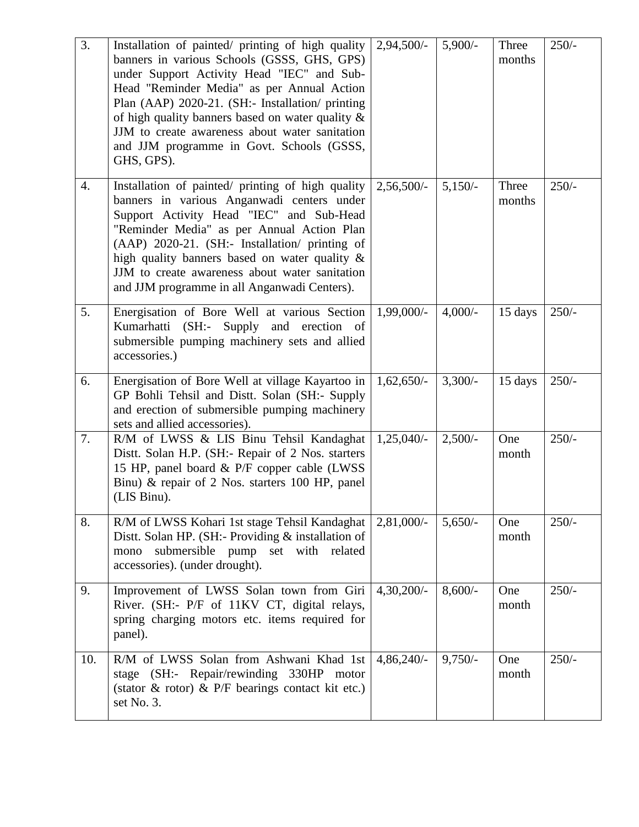| 3.  | Installation of painted/ printing of high quality<br>banners in various Schools (GSSS, GHS, GPS)<br>under Support Activity Head "IEC" and Sub-<br>Head "Reminder Media" as per Annual Action<br>Plan (AAP) 2020-21. (SH:- Installation/ printing<br>of high quality banners based on water quality &<br>JJM to create awareness about water sanitation<br>and JJM programme in Govt. Schools (GSSS,<br>GHS, GPS). | $2,94,500/-$ | $5,900/-$ | Three<br>months | $250/-$ |
|-----|-------------------------------------------------------------------------------------------------------------------------------------------------------------------------------------------------------------------------------------------------------------------------------------------------------------------------------------------------------------------------------------------------------------------|--------------|-----------|-----------------|---------|
| 4.  | Installation of painted/ printing of high quality<br>banners in various Anganwadi centers under<br>Support Activity Head "IEC" and Sub-Head<br>"Reminder Media" as per Annual Action Plan<br>(AAP) 2020-21. (SH:- Installation/ printing of<br>high quality banners based on water quality &<br>JJM to create awareness about water sanitation<br>and JJM programme in all Anganwadi Centers).                    | $2,56,500/-$ | $5,150/-$ | Three<br>months | $250/-$ |
| 5.  | Energisation of Bore Well at various Section<br>Kumarhatti (SH:- Supply and erection of<br>submersible pumping machinery sets and allied<br>accessories.)                                                                                                                                                                                                                                                         | $1,99,000/-$ | $4,000/-$ | 15 days         | $250/-$ |
| 6.  | Energisation of Bore Well at village Kayartoo in<br>GP Bohli Tehsil and Distt. Solan (SH:- Supply<br>and erection of submersible pumping machinery<br>sets and allied accessories).                                                                                                                                                                                                                               | $1,62,650/-$ | $3,300/-$ | 15 days         | $250/-$ |
| 7.  | R/M of LWSS & LIS Binu Tehsil Kandaghat<br>Distt. Solan H.P. (SH:- Repair of 2 Nos. starters<br>15 HP, panel board & P/F copper cable (LWSS<br>Binu) & repair of 2 Nos. starters 100 HP, panel<br>(LIS Binu).                                                                                                                                                                                                     | $1,25,040/-$ | $2,500/-$ | One<br>month    | $250/-$ |
| 8.  | R/M of LWSS Kohari 1st stage Tehsil Kandaghat<br>Distt. Solan HP. (SH:- Providing & installation of<br>submersible pump set with related<br>mono<br>accessories). (under drought).                                                                                                                                                                                                                                | $2,81,000/-$ | $5,650/-$ | One<br>month    | $250/-$ |
| 9.  | Improvement of LWSS Solan town from Giri<br>River. (SH:- P/F of 11KV CT, digital relays,<br>spring charging motors etc. items required for<br>panel).                                                                                                                                                                                                                                                             | $4,30,200/-$ | $8,600/-$ | One<br>month    | $250/-$ |
| 10. | R/M of LWSS Solan from Ashwani Khad 1st<br>stage (SH:- Repair/rewinding 330HP motor<br>(stator $\&$ rotor) $\&$ P/F bearings contact kit etc.)<br>set No. 3.                                                                                                                                                                                                                                                      | $4,86,240/-$ | $9,750/-$ | One<br>month    | $250/-$ |